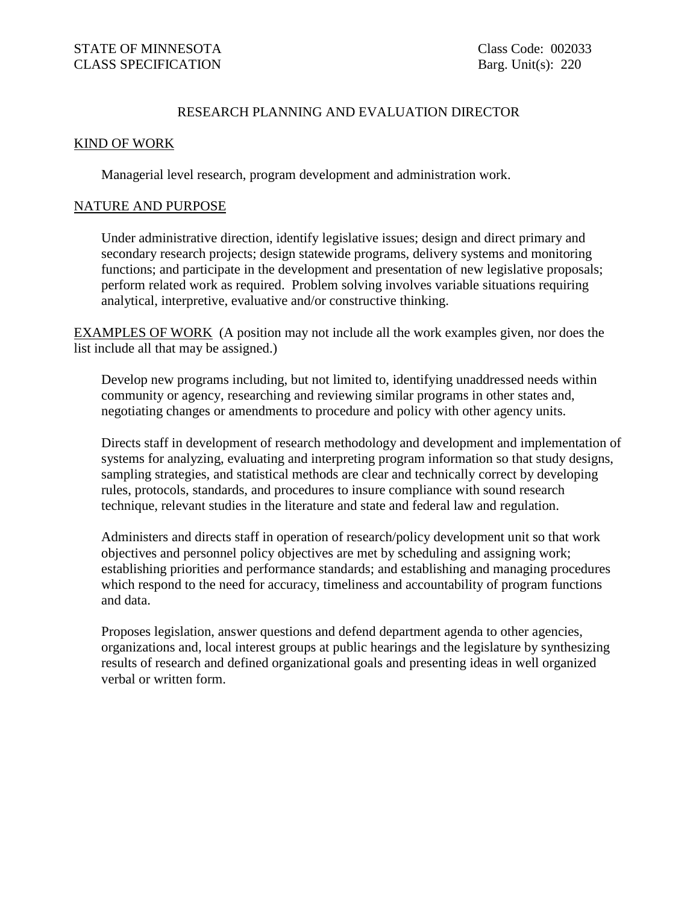## RESEARCH PLANNING AND EVALUATION DIRECTOR

## KIND OF WORK

Managerial level research, program development and administration work.

## NATURE AND PURPOSE

Under administrative direction, identify legislative issues; design and direct primary and secondary research projects; design statewide programs, delivery systems and monitoring functions; and participate in the development and presentation of new legislative proposals; perform related work as required. Problem solving involves variable situations requiring analytical, interpretive, evaluative and/or constructive thinking.

EXAMPLES OF WORK (A position may not include all the work examples given, nor does the list include all that may be assigned.)

Develop new programs including, but not limited to, identifying unaddressed needs within community or agency, researching and reviewing similar programs in other states and, negotiating changes or amendments to procedure and policy with other agency units.

Directs staff in development of research methodology and development and implementation of systems for analyzing, evaluating and interpreting program information so that study designs, sampling strategies, and statistical methods are clear and technically correct by developing rules, protocols, standards, and procedures to insure compliance with sound research technique, relevant studies in the literature and state and federal law and regulation.

Administers and directs staff in operation of research/policy development unit so that work objectives and personnel policy objectives are met by scheduling and assigning work; establishing priorities and performance standards; and establishing and managing procedures which respond to the need for accuracy, timeliness and accountability of program functions and data.

Proposes legislation, answer questions and defend department agenda to other agencies, organizations and, local interest groups at public hearings and the legislature by synthesizing results of research and defined organizational goals and presenting ideas in well organized verbal or written form.